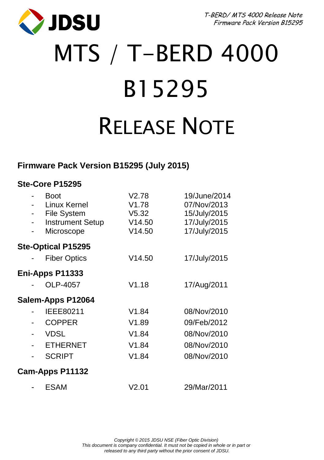JDSU

T-BERD/ MTS 4000 Release Note Firmware Pack Version B15295

# MTS / T-BERD 4000 B15295 RELEASE NOTE

# **Firmware Pack Version B15295 (July 2015)**

## **Ste-Core P15295**

| - | <b>Boot</b><br>Linux Kernel<br><b>File System</b><br><b>Instrument Setup</b><br>Microscope | V2.78<br>V1.78<br>V5.32<br>V14.50<br>V14.50 | 19/June/2014<br>07/Nov/2013<br>15/July/2015<br>17/July/2015<br>17/July/2015 |
|---|--------------------------------------------------------------------------------------------|---------------------------------------------|-----------------------------------------------------------------------------|
|   | <b>Ste-Optical P15295</b>                                                                  |                                             |                                                                             |
|   | <b>Fiber Optics</b>                                                                        | V14.50                                      | 17/July/2015                                                                |
|   | Eni-Apps P11333                                                                            |                                             |                                                                             |
|   | OLP-4057                                                                                   | V1.18                                       | 17/Aug/2011                                                                 |
|   | Salem-Apps P12064                                                                          |                                             |                                                                             |
|   | IEEE80211                                                                                  | V1.84                                       | 08/Nov/2010                                                                 |
|   | <b>COPPER</b>                                                                              | V1.89                                       | 09/Feb/2012                                                                 |
|   | <b>VDSL</b>                                                                                | V1.84                                       | 08/Nov/2010                                                                 |
|   | <b>ETHERNET</b>                                                                            | V1.84                                       | 08/Nov/2010                                                                 |
|   | <b>SCRIPT</b>                                                                              | V1.84                                       | 08/Nov/2010                                                                 |
|   | Cam-Apps P11132                                                                            |                                             |                                                                             |
|   | ESAM                                                                                       | V2.01                                       | 29/Mar/2011                                                                 |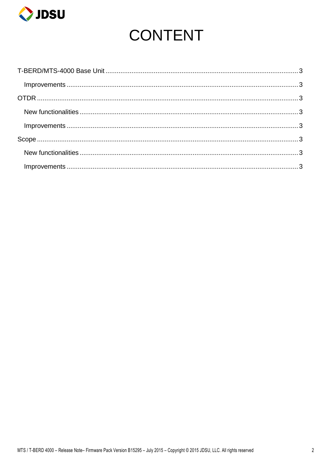

# **CONTENT**